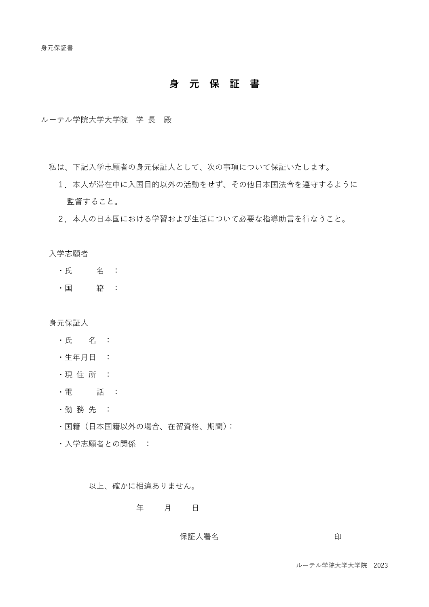# **身 元 保 証 書**

ルーテル学院大学大学院 学 長 殿

私は、下記入学志願者の身元保証人として、次の事項について保証いたします。

- 1.本人が滞在中に入国目的以外の活動をせず、その他日本国法令を遵守するように 監督すること。
- 2.本人の日本国における学習および生活について必要な指導助言を行なうこと。

入学志願者

- ・氏 名 :
- ・国 籍 :

身元保証人

- ・氏 名 :
- ・生年月日 :
- ・現 住 所 :
- ・電 話 :
- ・勤 務 先 :
- ・国籍(日本国籍以外の場合、在留資格、期間):
- ・入学志願者との関係 :

以上、確かに相違ありません。

#### 年 月 日

保証人署名 アンドライブ しょうしょう 印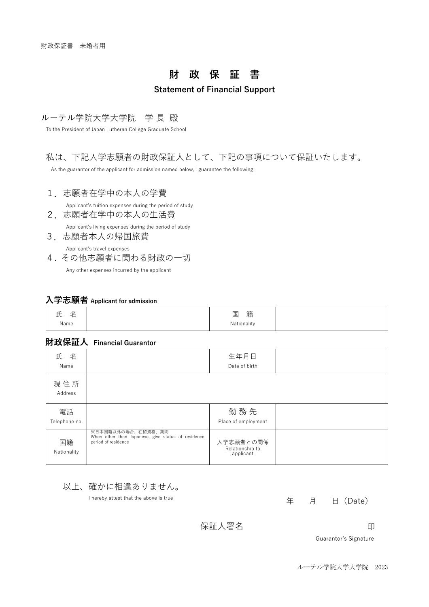# **財 政 保 証 書**

### **Statement of Financial Support**

#### ルーテル学院大学大学院 学 長 殿

To the President of Japan Lutheran College Graduate School

### 私は、下記入学志願者の財政保証人として、下記の事項について保証いたします。

As the guarantor of the applicant for admission named below, I guarantee the following:

1.志願者在学中の本人の学費

Applicant's tuition expenses during the period of study

2.志願者在学中の本人の生活費 Applicant's living expenses during the period of study

3.志願者本人の帰国旅費 Applicant's travel expenses

4. その他志願者に関わる財政の一切 Any other expenses incurred by the applicant

### **入学志願者 Applicant for admission**

| ∼<br>--<br>◡<br>$\overline{\phantom{0}}$ | 籍<br>ᆕ<br>خدر<br>_ |  |
|------------------------------------------|--------------------|--|
| Name                                     | Nationality        |  |

### **財政保証人 Financial Guarantor**

| 名<br>氏<br>Name      |                                                                                                  | 生年月日<br>Date of birth                     |  |
|---------------------|--------------------------------------------------------------------------------------------------|-------------------------------------------|--|
| 現住所<br>Address      |                                                                                                  |                                           |  |
| 電話<br>Telephone no. |                                                                                                  | 勤務先<br>Place of employment                |  |
| 国籍<br>Nationality   | ※日本国籍以外の場合、在留資格、期間<br>When other than Japanese, give status of residence,<br>period of residence | 入学志願者との関係<br>Relationship to<br>applicant |  |



I hereby attest that the above is true

年 月 日(Date)

保証人署名 アンドライブ しょうしゃ 印

Guarantor's Signature